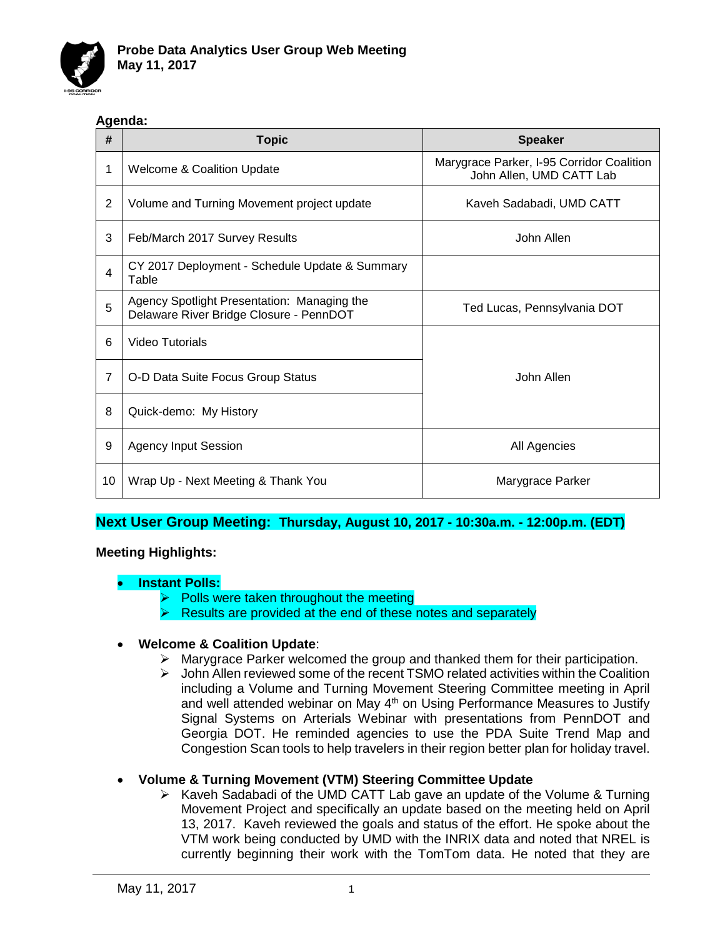

### **Agenda:**

| #  | <b>Topic</b>                                                                           | <b>Speaker</b>                                                        |
|----|----------------------------------------------------------------------------------------|-----------------------------------------------------------------------|
| 1  | <b>Welcome &amp; Coalition Update</b>                                                  | Marygrace Parker, I-95 Corridor Coalition<br>John Allen, UMD CATT Lab |
| 2  | Volume and Turning Movement project update                                             | Kaveh Sadabadi, UMD CATT                                              |
| 3  | Feb/March 2017 Survey Results                                                          | John Allen                                                            |
| 4  | CY 2017 Deployment - Schedule Update & Summary<br>Table                                |                                                                       |
| 5  | Agency Spotlight Presentation: Managing the<br>Delaware River Bridge Closure - PennDOT | Ted Lucas, Pennsylvania DOT                                           |
| 6  | Video Tutorials                                                                        |                                                                       |
| 7  | O-D Data Suite Focus Group Status                                                      | John Allen                                                            |
| 8  | Quick-demo: My History                                                                 |                                                                       |
| 9  | <b>Agency Input Session</b>                                                            | All Agencies                                                          |
| 10 | Wrap Up - Next Meeting & Thank You                                                     | Marygrace Parker                                                      |

# **Next User Group Meeting: Thursday, August 10, 2017 - 10:30a.m. - 12:00p.m. (EDT)**

# **Meeting Highlights:**

#### • **Instant Polls:**

- Polls were taken throughout the meeting
- Results are provided at the end of these notes and separately

# • **Welcome & Coalition Update**:

- $\triangleright$  Marygrace Parker welcomed the group and thanked them for their participation.
- $\triangleright$  John Allen reviewed some of the recent TSMO related activities within the Coalition including a Volume and Turning Movement Steering Committee meeting in April and well attended webinar on May 4<sup>th</sup> on Using Performance Measures to Justify Signal Systems on Arterials Webinar with presentations from PennDOT and Georgia DOT. He reminded agencies to use the PDA Suite Trend Map and Congestion Scan tools to help travelers in their region better plan for holiday travel.

# • **Volume & Turning Movement (VTM) Steering Committee Update**

 $\triangleright$  Kaveh Sadabadi of the UMD CATT Lab gave an update of the Volume & Turning Movement Project and specifically an update based on the meeting held on April 13, 2017. Kaveh reviewed the goals and status of the effort. He spoke about the VTM work being conducted by UMD with the INRIX data and noted that NREL is currently beginning their work with the TomTom data. He noted that they are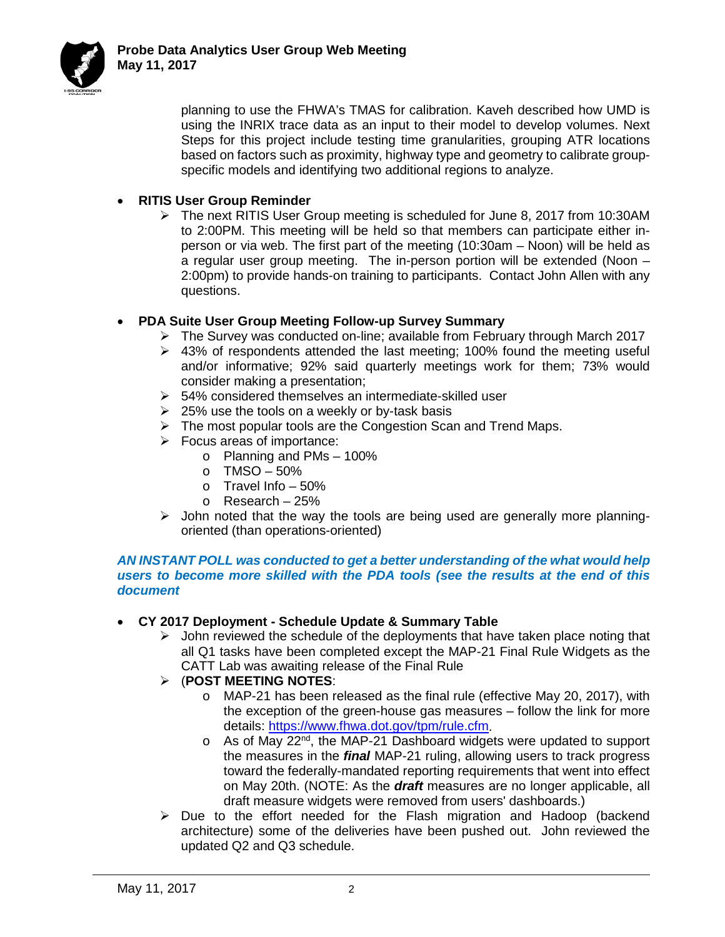

planning to use the FHWA's TMAS for calibration. Kaveh described how UMD is using the INRIX trace data as an input to their model to develop volumes. Next Steps for this project include testing time granularities, grouping ATR locations based on factors such as proximity, highway type and geometry to calibrate groupspecific models and identifying two additional regions to analyze.

## • **RITIS User Group Reminder**

 $\triangleright$  The next RITIS User Group meeting is scheduled for June 8, 2017 from 10:30AM to 2:00PM. This meeting will be held so that members can participate either inperson or via web. The first part of the meeting (10:30am – Noon) will be held as a regular user group meeting. The in-person portion will be extended (Noon – 2:00pm) to provide hands-on training to participants. Contact John Allen with any questions.

## • **PDA Suite User Group Meeting Follow-up Survey Summary**

- $\triangleright$  The Survey was conducted on-line; available from February through March 2017
- ▶ 43% of respondents attended the last meeting; 100% found the meeting useful and/or informative; 92% said quarterly meetings work for them; 73% would consider making a presentation;
- $\geq$  54% considered themselves an intermediate-skilled user
- $\geq$  25% use the tools on a weekly or by-task basis
- $\triangleright$  The most popular tools are the Congestion Scan and Trend Maps.
- $\triangleright$  Focus areas of importance:
	- o Planning and PMs 100%
	- $O$  TMSO 50%
	- $\circ$  Travel Info 50%
	- o Research 25%
- $\triangleright$  John noted that the way the tools are being used are generally more planningoriented (than operations-oriented)

#### *AN INSTANT POLL was conducted to get a better understanding of the what would help users to become more skilled with the PDA tools (see the results at the end of this document*

#### • **CY 2017 Deployment - Schedule Update & Summary Table**

 $\triangleright$  John reviewed the schedule of the deployments that have taken place noting that all Q1 tasks have been completed except the MAP-21 Final Rule Widgets as the CATT Lab was awaiting release of the Final Rule

# (**POST MEETING NOTES**:

- o MAP-21 has been released as the final rule (effective May 20, 2017), with the exception of the green-house gas measures – follow the link for more details: [https://www.fhwa.dot.gov/tpm/rule.cfm.](https://www.fhwa.dot.gov/tpm/rule.cfm)
- o As of May 22<sup>nd</sup>, the MAP-21 Dashboard widgets were updated to support the measures in the *final* MAP-21 ruling, allowing users to track progress toward the federally-mandated reporting requirements that went into effect on May 20th. (NOTE: As the *draft* measures are no longer applicable, all draft measure widgets were removed from users' dashboards.)
- $\triangleright$  Due to the effort needed for the Flash migration and Hadoop (backend architecture) some of the deliveries have been pushed out. John reviewed the updated Q2 and Q3 schedule.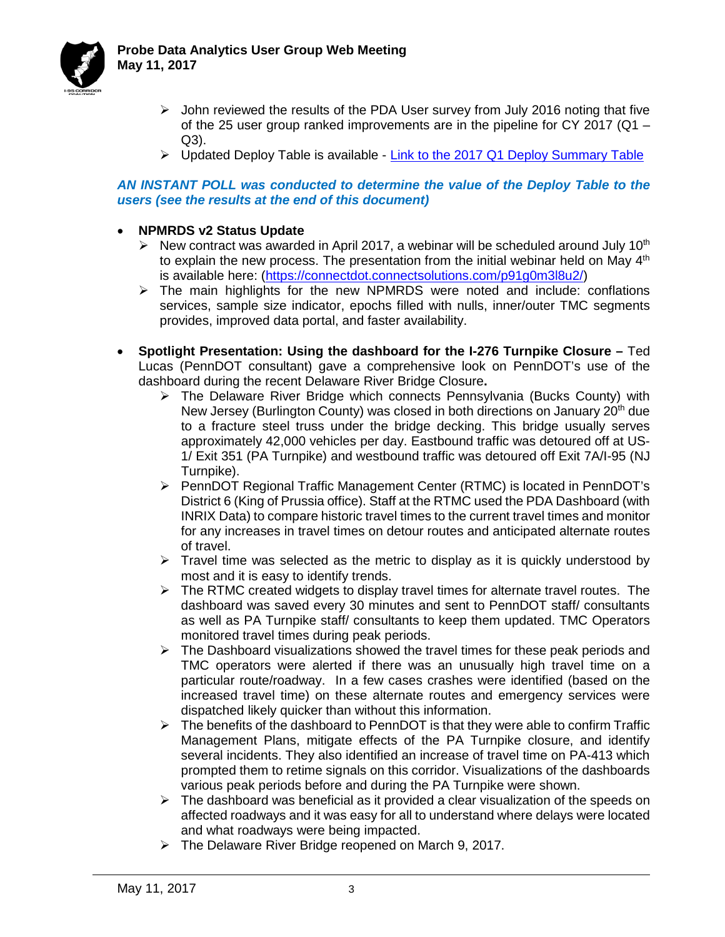



- $\triangleright$  John reviewed the results of the PDA User survey from July 2016 noting that five of the 25 user group ranked improvements are in the pipeline for CY 2017 ( $Q1 -$ Q3).
- ▶ Updated Deploy Table is available [Link to the 2017 Q1 Deploy Summary Table](http://i95coalition.org/wp-content/uploads/2015/02/2017_PDA_Suite_Accomplishments-Q1-FINAL.pdf?652af7)

#### *AN INSTANT POLL was conducted to determine the value of the Deploy Table to the users (see the results at the end of this document)*

- **NPMRDS v2 Status Update**
	- $\triangleright$  New contract was awarded in April 2017, a webinar will be scheduled around July 10<sup>th</sup> to explain the new process. The presentation from the initial webinar held on May  $4<sup>th</sup>$ is available here: [\(https://connectdot.connectsolutions.com/p91g0m3l8u2/\)](https://connectdot.connectsolutions.com/p91g0m3l8u2/)
	- $\triangleright$  The main highlights for the new NPMRDS were noted and include: conflations services, sample size indicator, epochs filled with nulls, inner/outer TMC segments provides, improved data portal, and faster availability.
- **Spotlight Presentation: Using the dashboard for the I-276 Turnpike Closure –** Ted Lucas (PennDOT consultant) gave a comprehensive look on PennDOT's use of the dashboard during the recent Delaware River Bridge Closure**.** 
	- $\triangleright$  The Delaware River Bridge which connects Pennsylvania (Bucks County) with New Jersey (Burlington County) was closed in both directions on January 20<sup>th</sup> due to a fracture steel truss under the bridge decking. This bridge usually serves approximately 42,000 vehicles per day. Eastbound traffic was detoured off at US-1/ Exit 351 (PA Turnpike) and westbound traffic was detoured off Exit 7A/I-95 (NJ Turnpike).
	- PennDOT Regional Traffic Management Center (RTMC) is located in PennDOT's District 6 (King of Prussia office). Staff at the RTMC used the PDA Dashboard (with INRIX Data) to compare historic travel times to the current travel times and monitor for any increases in travel times on detour routes and anticipated alternate routes of travel.
	- $\triangleright$  Travel time was selected as the metric to display as it is quickly understood by most and it is easy to identify trends.
	- $\triangleright$  The RTMC created widgets to display travel times for alternate travel routes. The dashboard was saved every 30 minutes and sent to PennDOT staff/ consultants as well as PA Turnpike staff/ consultants to keep them updated. TMC Operators monitored travel times during peak periods.
	- $\triangleright$  The Dashboard visualizations showed the travel times for these peak periods and TMC operators were alerted if there was an unusually high travel time on a particular route/roadway. In a few cases crashes were identified (based on the increased travel time) on these alternate routes and emergency services were dispatched likely quicker than without this information.
	- $\triangleright$  The benefits of the dashboard to PennDOT is that they were able to confirm Traffic Management Plans, mitigate effects of the PA Turnpike closure, and identify several incidents. They also identified an increase of travel time on PA-413 which prompted them to retime signals on this corridor. Visualizations of the dashboards various peak periods before and during the PA Turnpike were shown.
	- $\triangleright$  The dashboard was beneficial as it provided a clear visualization of the speeds on affected roadways and it was easy for all to understand where delays were located and what roadways were being impacted.
	- The Delaware River Bridge reopened on March 9, 2017.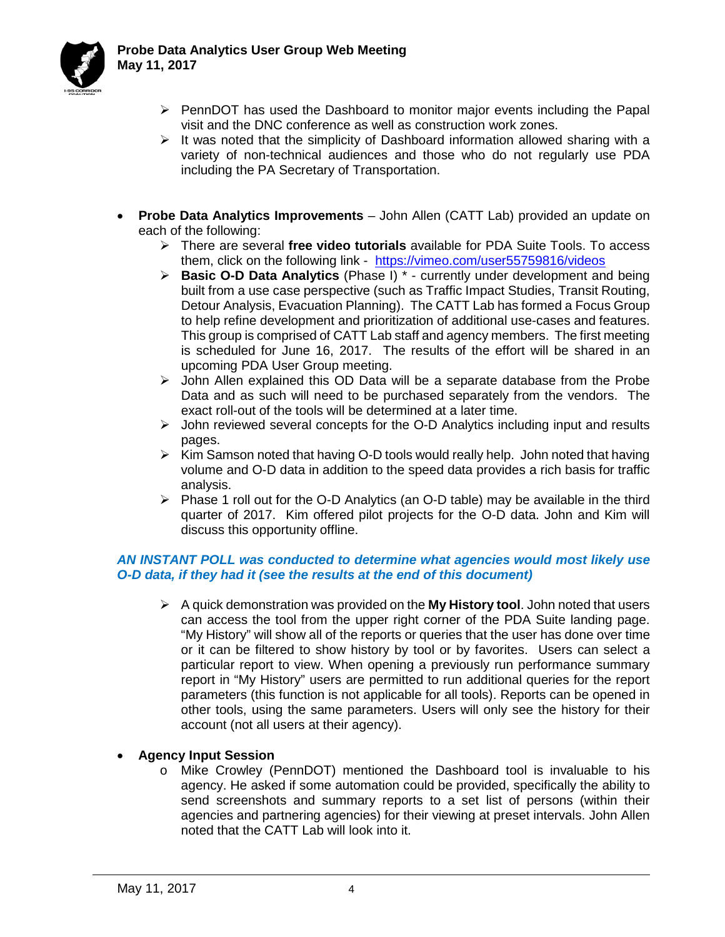

- $\triangleright$  PennDOT has used the Dashboard to monitor major events including the Papal visit and the DNC conference as well as construction work zones.
- $\triangleright$  It was noted that the simplicity of Dashboard information allowed sharing with a variety of non-technical audiences and those who do not regularly use PDA including the PA Secretary of Transportation.
- **Probe Data Analytics Improvements**  John Allen (CATT Lab) provided an update on each of the following:
	- There are several **free video tutorials** available for PDA Suite Tools. To access them, click on the following link - <https://vimeo.com/user55759816/videos>
	- **Basic O-D Data Analytics** (Phase I) \* currently under development and being built from a use case perspective (such as Traffic Impact Studies, Transit Routing, Detour Analysis, Evacuation Planning). The CATT Lab has formed a Focus Group to help refine development and prioritization of additional use-cases and features. This group is comprised of CATT Lab staff and agency members. The first meeting is scheduled for June 16, 2017. The results of the effort will be shared in an upcoming PDA User Group meeting.
	- $\triangleright$  John Allen explained this OD Data will be a separate database from the Probe Data and as such will need to be purchased separately from the vendors. The exact roll-out of the tools will be determined at a later time.
	- $\triangleright$  John reviewed several concepts for the O-D Analytics including input and results pages.
	- $\triangleright$  Kim Samson noted that having O-D tools would really help. John noted that having volume and O-D data in addition to the speed data provides a rich basis for traffic analysis.
	- $\triangleright$  Phase 1 roll out for the O-D Analytics (an O-D table) may be available in the third quarter of 2017. Kim offered pilot projects for the O-D data. John and Kim will discuss this opportunity offline.

## *AN INSTANT POLL was conducted to determine what agencies would most likely use O-D data, if they had it (see the results at the end of this document)*

 A quick demonstration was provided on the **My History tool**. John noted that users can access the tool from the upper right corner of the PDA Suite landing page. "My History" will show all of the reports or queries that the user has done over time or it can be filtered to show history by tool or by favorites. Users can select a particular report to view. When opening a previously run performance summary report in "My History" users are permitted to run additional queries for the report parameters (this function is not applicable for all tools). Reports can be opened in other tools, using the same parameters. Users will only see the history for their account (not all users at their agency).

# • **Agency Input Session**

o Mike Crowley (PennDOT) mentioned the Dashboard tool is invaluable to his agency. He asked if some automation could be provided, specifically the ability to send screenshots and summary reports to a set list of persons (within their agencies and partnering agencies) for their viewing at preset intervals. John Allen noted that the CATT Lab will look into it.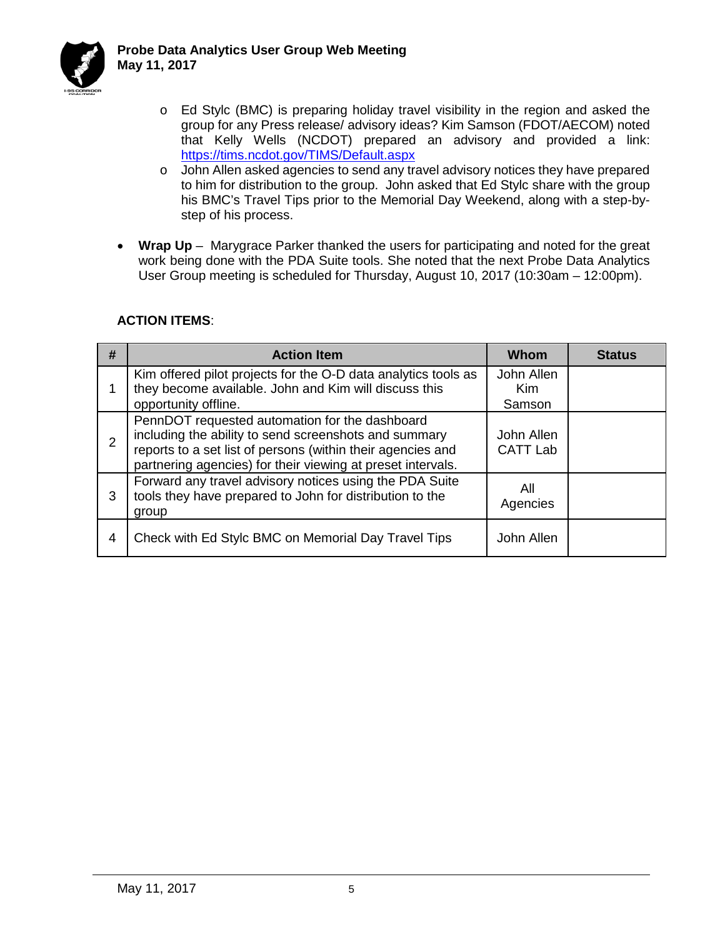

- o Ed Stylc (BMC) is preparing holiday travel visibility in the region and asked the group for any Press release/ advisory ideas? Kim Samson (FDOT/AECOM) noted that Kelly Wells (NCDOT) prepared an advisory and provided a link: <https://tims.ncdot.gov/TIMS/Default.aspx>
- o John Allen asked agencies to send any travel advisory notices they have prepared to him for distribution to the group. John asked that Ed Stylc share with the group his BMC's Travel Tips prior to the Memorial Day Weekend, along with a step-bystep of his process.
- **Wrap Up**  Marygrace Parker thanked the users for participating and noted for the great work being done with the PDA Suite tools. She noted that the next Probe Data Analytics User Group meeting is scheduled for Thursday, August 10, 2017 (10:30am – 12:00pm).

| #              | <b>Action Item</b>                                                                                                                                                                                                                    | Whom                          | <b>Status</b> |
|----------------|---------------------------------------------------------------------------------------------------------------------------------------------------------------------------------------------------------------------------------------|-------------------------------|---------------|
|                | Kim offered pilot projects for the O-D data analytics tools as<br>they become available. John and Kim will discuss this<br>opportunity offline.                                                                                       | John Allen<br>Kim<br>Samson   |               |
| $\overline{2}$ | PennDOT requested automation for the dashboard<br>including the ability to send screenshots and summary<br>reports to a set list of persons (within their agencies and<br>partnering agencies) for their viewing at preset intervals. | John Allen<br><b>CATT Lab</b> |               |
| 3              | Forward any travel advisory notices using the PDA Suite<br>tools they have prepared to John for distribution to the<br>group                                                                                                          | All<br>Agencies               |               |
| 4              | Check with Ed Stylc BMC on Memorial Day Travel Tips                                                                                                                                                                                   | John Allen                    |               |

## **ACTION ITEMS**: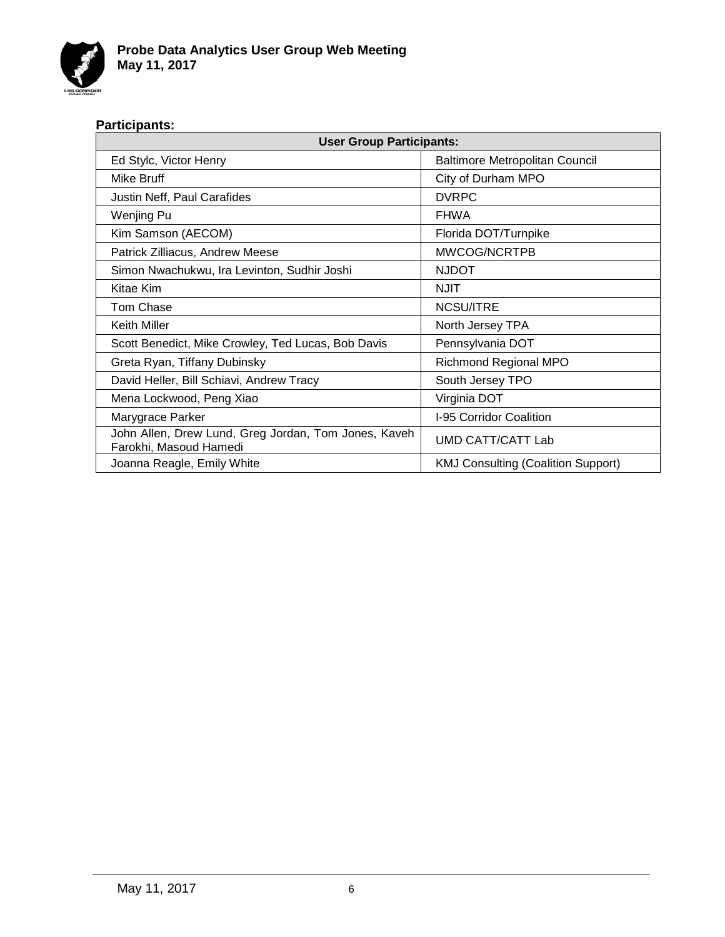

## **Participants:**

| <b>User Group Participants:</b>                                                |                                           |  |  |
|--------------------------------------------------------------------------------|-------------------------------------------|--|--|
| Ed Stylc, Victor Henry                                                         | Baltimore Metropolitan Council            |  |  |
| Mike Bruff                                                                     | City of Durham MPO                        |  |  |
| Justin Neff, Paul Carafides                                                    | <b>DVRPC</b>                              |  |  |
| Wenjing Pu                                                                     | <b>FHWA</b>                               |  |  |
| Kim Samson (AECOM)                                                             | Florida DOT/Turnpike                      |  |  |
| Patrick Zilliacus, Andrew Meese                                                | MWCOG/NCRTPB                              |  |  |
| Simon Nwachukwu, Ira Levinton, Sudhir Joshi                                    | <b>NJDOT</b>                              |  |  |
| Kitae Kim                                                                      | <b>NJIT</b>                               |  |  |
| Tom Chase                                                                      | <b>NCSU/ITRE</b>                          |  |  |
| Keith Miller                                                                   | North Jersey TPA                          |  |  |
| Scott Benedict, Mike Crowley, Ted Lucas, Bob Davis                             | Pennsylvania DOT                          |  |  |
| Greta Ryan, Tiffany Dubinsky                                                   | <b>Richmond Regional MPO</b>              |  |  |
| David Heller, Bill Schiavi, Andrew Tracy                                       | South Jersey TPO                          |  |  |
| Mena Lockwood, Peng Xiao                                                       | Virginia DOT                              |  |  |
| Marygrace Parker                                                               | I-95 Corridor Coalition                   |  |  |
| John Allen, Drew Lund, Greg Jordan, Tom Jones, Kaveh<br>Farokhi, Masoud Hamedi | UMD CATT/CATT Lab                         |  |  |
| Joanna Reagle, Emily White                                                     | <b>KMJ Consulting (Coalition Support)</b> |  |  |